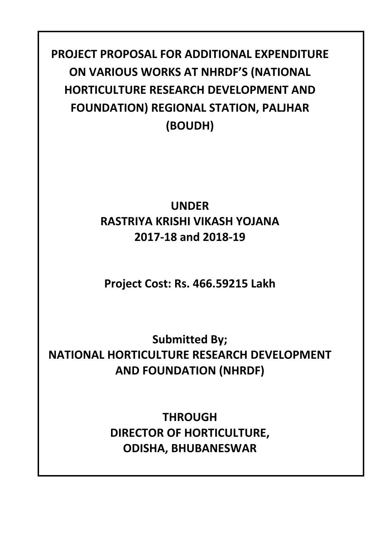**PROJECT PROPOSAL FOR ADDITIONAL EXPENDITURE ON VARIOUS WORKS AT NHRDF'S (NATIONAL HORTICULTURE RESEARCH DEVELOPMENT AND FOUNDATION) REGIONAL STATION, PALJHAR (BOUDH)**

## **UNDER RASTRIYA KRISHI VIKASH YOJANA 2017‐18 and 2018‐19**

**Project Cost: Rs. 466.59215 Lakh**

**Submitted By; NATIONAL HORTICULTURE RESEARCH DEVELOPMENT AND FOUNDATION (NHRDF)** 

> **THROUGH DIRECTOR OF HORTICULTURE, ODISHA, BHUBANESWAR**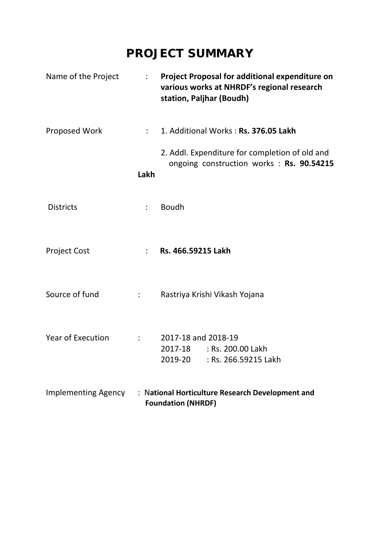## **PROJECT SUMMARY**

| Name of the Project        | $\mathbb{R}^{\mathbb{Z}}$ | Project Proposal for additional expenditure on<br>various works at NHRDF's regional research<br>station, Paljhar (Boudh) |
|----------------------------|---------------------------|--------------------------------------------------------------------------------------------------------------------------|
| Proposed Work              | $\mathbb{R}^{\mathbb{Z}}$ | 1. Additional Works: Rs. 376.05 Lakh                                                                                     |
|                            | Lakh                      | 2. Addl. Expenditure for completion of old and<br>ongoing construction works : Rs. 90.54215                              |
| <b>Districts</b>           | $\ddot{\cdot}$            | <b>Boudh</b>                                                                                                             |
| <b>Project Cost</b>        |                           | Rs. 466.59215 Lakh                                                                                                       |
| Source of fund             | $\mathbb{R}^{\mathbb{Z}}$ | Rastriya Krishi Vikash Yojana                                                                                            |
| <b>Year of Execution</b>   |                           | 2017-18 and 2018-19<br>2017-18 : Rs. 200.00 Lakh<br>2019-20<br>: Rs. 266.59215 Lakh                                      |
| <b>Implementing Agency</b> |                           | : National Horticulture Research Development and<br><b>Foundation (NHRDF)</b>                                            |